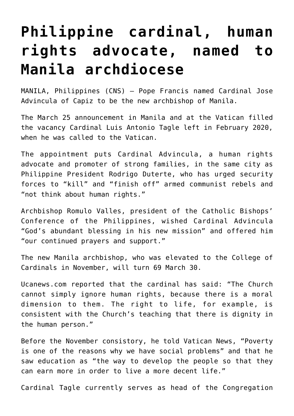## **[Philippine cardinal, human](https://www.osvnews.com/2021/03/25/philippine-cardinal-human-rights-advocate-named-to-manila-archdiocese/) [rights advocate, named to](https://www.osvnews.com/2021/03/25/philippine-cardinal-human-rights-advocate-named-to-manila-archdiocese/) [Manila archdiocese](https://www.osvnews.com/2021/03/25/philippine-cardinal-human-rights-advocate-named-to-manila-archdiocese/)**

MANILA, Philippines (CNS) — Pope Francis named Cardinal Jose Advincula of Capiz to be the new archbishop of Manila.

The March 25 announcement in Manila and at the Vatican filled the vacancy Cardinal Luis Antonio Tagle left in February 2020, when he was called to the Vatican.

The appointment puts Cardinal Advincula, a human rights advocate and promoter of strong families, in the same city as Philippine President Rodrigo Duterte, who has urged security forces to "kill" and "finish off" armed communist rebels and "not think about human rights."

Archbishop Romulo Valles, president of the Catholic Bishops' Conference of the Philippines, wished Cardinal Advincula "God's abundant blessing in his new mission" and offered him "our continued prayers and support."

The new Manila archbishop, who was elevated to the College of Cardinals in November, will turn 69 March 30.

Ucanews.com reported that the cardinal has said: "The Church cannot simply ignore human rights, because there is a moral dimension to them. The right to life, for example, is consistent with the Church's teaching that there is dignity in the human person."

Before the November consistory, he told Vatican News, "Poverty is one of the reasons why we have social problems" and that he saw education as "the way to develop the people so that they can earn more in order to live a more decent life."

Cardinal Tagle currently serves as head of the Congregation